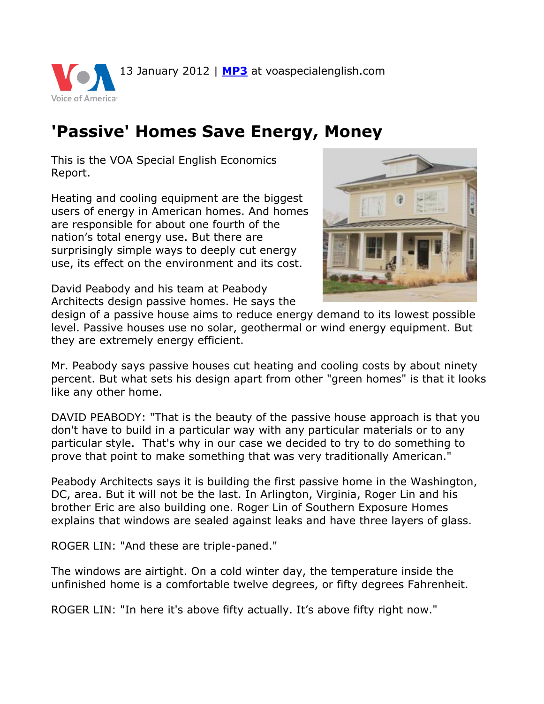13 January 2012 | **[MP3](http://www.voanews.com/MediaAssets2/learningenglish/dalet/se-econ-passive-homes-13jan12.Mp3)** at voaspecialenglish.com Voice of America<sup>®</sup>

## **'Passive' Homes Save Energy, Money**

This is the VOA Special English Economics Report.

Heating and cooling equipment are the biggest users of energy in American homes. And homes are responsible for about one fourth of the nation's total energy use. But there are surprisingly simple ways to deeply cut energy use, its effect on the environment and its cost.



David Peabody and his team at Peabody Architects design passive homes. He says the

design of a passive house aims to reduce energy demand to its lowest possible level. Passive houses use no solar, geothermal or wind energy equipment. But they are extremely energy efficient.

Mr. Peabody says passive houses cut heating and cooling costs by about ninety percent. But what sets his design apart from other "green homes" is that it looks like any other home.

DAVID PEABODY: "That is the beauty of the passive house approach is that you don't have to build in a particular way with any particular materials or to any particular style. That's why in our case we decided to try to do something to prove that point to make something that was very traditionally American."

Peabody Architects says it is building the first passive home in the Washington, DC, area. But it will not be the last. In Arlington, Virginia, Roger Lin and his brother Eric are also building one. Roger Lin of Southern Exposure Homes explains that windows are sealed against leaks and have three layers of glass.

ROGER LIN: "And these are triple-paned."

The windows are airtight. On a cold winter day, the temperature inside the unfinished home is a comfortable twelve degrees, or fifty degrees Fahrenheit.

ROGER LIN: "In here it's above fifty actually. It's above fifty right now."